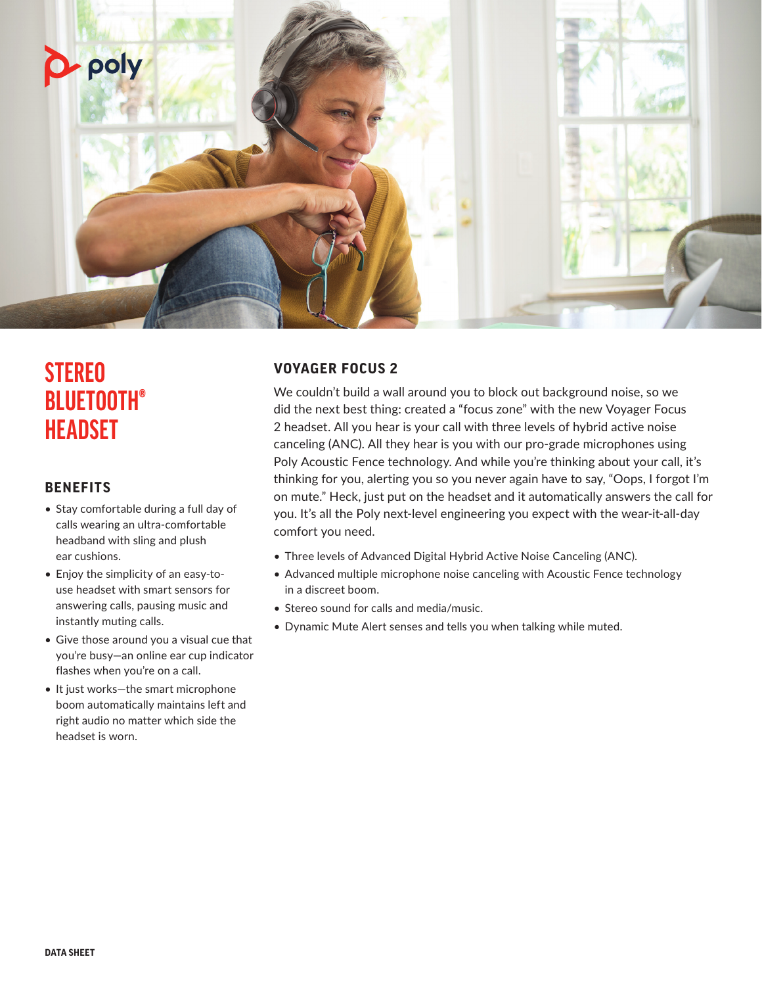

# **STEREO BLUETOOTH® HEADSET**

# **BENEFITS**

- Stay comfortable during a full day of calls wearing an ultra-comfortable headband with sling and plush ear cushions.
- Enjoy the simplicity of an easy-touse headset with smart sensors for answering calls, pausing music and instantly muting calls.
- Give those around you a visual cue that you're busy—an online ear cup indicator flashes when you're on a call.
- It just works—the smart microphone boom automatically maintains left and right audio no matter which side the headset is worn.

# **VOYAGER FOCUS 2**

We couldn't build a wall around you to block out background noise, so we did the next best thing: created a "focus zone" with the new Voyager Focus 2 headset. All you hear is your call with three levels of hybrid active noise canceling (ANC). All they hear is you with our pro-grade microphones using Poly Acoustic Fence technology. And while you're thinking about your call, it's thinking for you, alerting you so you never again have to say, "Oops, I forgot I'm on mute." Heck, just put on the headset and it automatically answers the call for you. It's all the Poly next-level engineering you expect with the wear-it-all-day comfort you need.

- Three levels of Advanced Digital Hybrid Active Noise Canceling (ANC).
- Advanced multiple microphone noise canceling with Acoustic Fence technology in a discreet boom.
- Stereo sound for calls and media/music.
- Dynamic Mute Alert senses and tells you when talking while muted.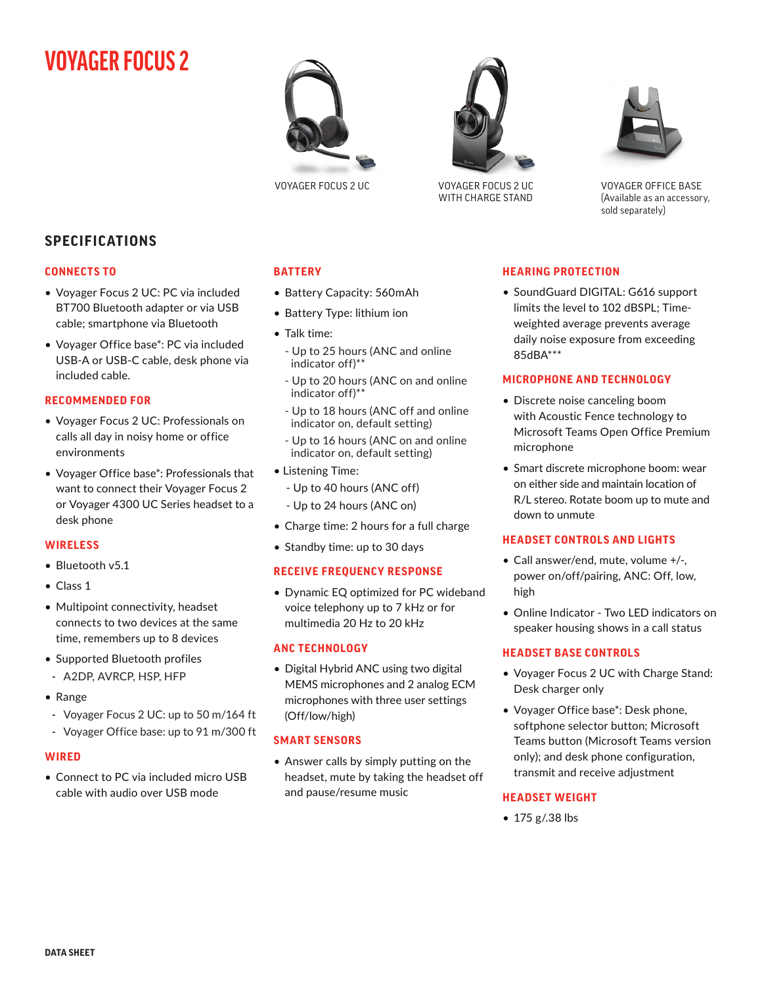# **VOYAGER FOCUS 2**





VOYAGER FOCUS 2 UC VOYAGER FOCUS 2 UC WITH CHARGE STAND



VOYAGER OFFICE BASE (Available as an accessory, sold separately)

# **SPECIFICATIONS**

#### **CONNECTS TO**

- Voyager Focus 2 UC: PC via included BT700 Bluetooth adapter or via USB cable; smartphone via Bluetooth
- Voyager Office base\*: PC via included USB-A or USB-C cable, desk phone via included cable.

#### **RECOMMENDED FOR**

- Voyager Focus 2 UC: Professionals on calls all day in noisy home or office environments
- Voyager Office base\*: Professionals that want to connect their Voyager Focus 2 or Voyager 4300 UC Series headset to a desk phone

#### **WIRELESS**

- Bluetooth v5.1
- Class 1
- Multipoint connectivity, headset connects to two devices at the same time, remembers up to 8 devices
- Supported Bluetooth profiles - A2DP, AVRCP, HSP, HFP
- Range
- Voyager Focus 2 UC: up to 50 m/164 ft
- Voyager Office base: up to 91 m/300 ft

## **WIRED**

• Connect to PC via included micro USB cable with audio over USB mode

# **BATTERY**

- Battery Capacity: 560mAh
- Battery Type: lithium ion
- Talk time:
	- Up to 25 hours (ANC and online indicator off)\*\*
	- Up to 20 hours (ANC on and online indicator off)\*\*
	- Up to 18 hours (ANC off and online indicator on, default setting)
	- Up to 16 hours (ANC on and online indicator on, default setting)
- Listening Time:
	- Up to 40 hours (ANC off)
	- Up to 24 hours (ANC on)
- Charge time: 2 hours for a full charge
- Standby time: up to 30 days

## **RECEIVE FREQUENCY RESPONSE**

• Dynamic EQ optimized for PC wideband voice telephony up to 7 kHz or for multimedia 20 Hz to 20 kHz

## **ANC TECHNOLOGY**

• Digital Hybrid ANC using two digital MEMS microphones and 2 analog ECM microphones with three user settings (Off/low/high)

## **SMART SENSORS**

• Answer calls by simply putting on the headset, mute by taking the headset off and pause/resume music

## **HEARING PROTECTION**

• SoundGuard DIGITAL: G616 support limits the level to 102 dBSPL; Timeweighted average prevents average daily noise exposure from exceeding 85dBA\*\*\*

# **MICROPHONE AND TECHNOLOGY**

- Discrete noise canceling boom with Acoustic Fence technology to Microsoft Teams Open Office Premium microphone
- Smart discrete microphone boom: wear on either side and maintain location of R/L stereo. Rotate boom up to mute and down to unmute

## **HEADSET CONTROLS AND LIGHTS**

- Call answer/end, mute, volume +/-, power on/off/pairing, ANC: Off, low, high
- Online Indicator Two LED indicators on speaker housing shows in a call status

## **HEADSET BASE CONTROLS**

- Voyager Focus 2 UC with Charge Stand: Desk charger only
- Voyager Office base\*: Desk phone, softphone selector button; Microsoft Teams button (Microsoft Teams version only); and desk phone configuration, transmit and receive adjustment

## **HEADSET WEIGHT**

• 175 g/.38 lbs